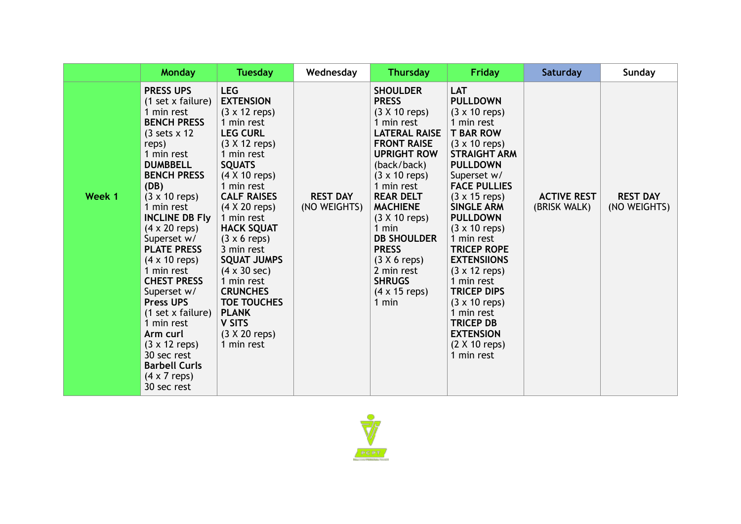|        | <b>Monday</b>                                                                                                                                                                                                                                                                                                                                                                                                                                                                                                                                                                            | <b>Tuesday</b>                                                                                                                                                                                                                                                                                                                                                                                                                                                                                              | Wednesday                       | <b>Thursday</b>                                                                                                                                                                                                                                                                                                                                                                                | Friday                                                                                                                                                                                                                                                                                                                                                                                                                                                                                                                                                                                    | Saturday                           | Sunday                          |
|--------|------------------------------------------------------------------------------------------------------------------------------------------------------------------------------------------------------------------------------------------------------------------------------------------------------------------------------------------------------------------------------------------------------------------------------------------------------------------------------------------------------------------------------------------------------------------------------------------|-------------------------------------------------------------------------------------------------------------------------------------------------------------------------------------------------------------------------------------------------------------------------------------------------------------------------------------------------------------------------------------------------------------------------------------------------------------------------------------------------------------|---------------------------------|------------------------------------------------------------------------------------------------------------------------------------------------------------------------------------------------------------------------------------------------------------------------------------------------------------------------------------------------------------------------------------------------|-------------------------------------------------------------------------------------------------------------------------------------------------------------------------------------------------------------------------------------------------------------------------------------------------------------------------------------------------------------------------------------------------------------------------------------------------------------------------------------------------------------------------------------------------------------------------------------------|------------------------------------|---------------------------------|
| Week 1 | <b>PRESS UPS</b><br>(1 set x failure)<br>1 min rest<br><b>BENCH PRESS</b><br>$(3 \text{ sets} \times 12)$<br>reps)<br>1 min rest<br><b>DUMBBELL</b><br><b>BENCH PRESS</b><br>(DB)<br>$(3 \times 10 \text{ reps})$<br>1 min rest<br><b>INCLINE DB Fly</b><br>$(4 \times 20$ reps)<br>Superset w/<br><b>PLATE PRESS</b><br>$(4 \times 10$ reps)<br>1 min rest<br><b>CHEST PRESS</b><br>Superset w/<br><b>Press UPS</b><br>(1 set x failure)<br>1 min rest<br>Arm curl<br>$(3 \times 12 \text{ reps})$<br>30 sec rest<br><b>Barbell Curls</b><br>$(4 \times 7 \text{ reps})$<br>30 sec rest | <b>LEG</b><br><b>EXTENSION</b><br>$(3 \times 12 \text{ reps})$<br>1 min rest<br><b>LEG CURL</b><br>$(3 X 12$ reps)<br>1 min rest<br><b>SQUATS</b><br>$(4 \times 10 \text{ reps})$<br>1 min rest<br><b>CALF RAISES</b><br>$(4 \times 20$ reps)<br>1 min rest<br><b>HACK SQUAT</b><br>$(3 \times 6 \text{ reps})$<br>3 min rest<br><b>SQUAT JUMPS</b><br>$(4 \times 30 \text{ sec})$<br>1 min rest<br><b>CRUNCHES</b><br><b>TOE TOUCHES</b><br><b>PLANK</b><br><b>V SITS</b><br>$(3 X 20$ reps)<br>1 min rest | <b>REST DAY</b><br>(NO WEIGHTS) | <b>SHOULDER</b><br><b>PRESS</b><br>$(3 X 10$ reps)<br>1 min rest<br><b>LATERAL RAISE</b><br><b>FRONT RAISE</b><br><b>UPRIGHT ROW</b><br>(back/back)<br>$(3 \times 10 \text{ reps})$<br>1 min rest<br><b>REAR DELT</b><br><b>MACHIENE</b><br>$(3 X 10$ reps)<br>1 min<br><b>DB SHOULDER</b><br><b>PRESS</b><br>$(3 X 6$ reps)<br>2 min rest<br><b>SHRUGS</b><br>$(4 \times 15$ reps)<br>$1$ min | <b>LAT</b><br><b>PULLDOWN</b><br>$(3 \times 10 \text{ reps})$<br>1 min rest<br><b>T BAR ROW</b><br>$(3 \times 10 \text{ reps})$<br><b>STRAIGHT ARM</b><br><b>PULLDOWN</b><br>Superset w/<br><b>FACE PULLIES</b><br>$(3 \times 15 \text{ reps})$<br><b>SINGLE ARM</b><br><b>PULLDOWN</b><br>$(3 \times 10 \text{ reps})$<br>1 min rest<br><b>TRICEP ROPE</b><br><b>EXTENSIIONS</b><br>$(3 \times 12 \text{ reps})$<br>1 min rest<br><b>TRICEP DIPS</b><br>$(3 \times 10 \text{ reps})$<br>1 min rest<br><b>TRICEP DB</b><br><b>EXTENSION</b><br>$(2 \times 10 \text{ reps})$<br>1 min rest | <b>ACTIVE REST</b><br>(BRISK WALK) | <b>REST DAY</b><br>(NO WEIGHTS) |

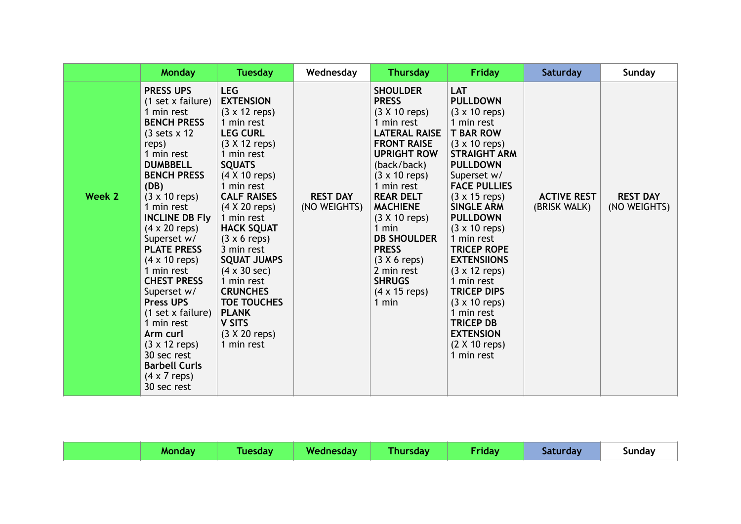|        | <b>Monday</b>                                                                                                                                                                                                                                                                                                                                                                                                                                                                                                                                                                            | <b>Tuesday</b>                                                                                                                                                                                                                                                                                                                                                                                                                                                                                                           | Wednesday                       | <b>Thursday</b>                                                                                                                                                                                                                                                                                                                                                                              | <b>Friday</b>                                                                                                                                                                                                                                                                                                                                                                                                                                                                                                                                                             | Saturday                           | <b>Sunday</b>                   |
|--------|------------------------------------------------------------------------------------------------------------------------------------------------------------------------------------------------------------------------------------------------------------------------------------------------------------------------------------------------------------------------------------------------------------------------------------------------------------------------------------------------------------------------------------------------------------------------------------------|--------------------------------------------------------------------------------------------------------------------------------------------------------------------------------------------------------------------------------------------------------------------------------------------------------------------------------------------------------------------------------------------------------------------------------------------------------------------------------------------------------------------------|---------------------------------|----------------------------------------------------------------------------------------------------------------------------------------------------------------------------------------------------------------------------------------------------------------------------------------------------------------------------------------------------------------------------------------------|---------------------------------------------------------------------------------------------------------------------------------------------------------------------------------------------------------------------------------------------------------------------------------------------------------------------------------------------------------------------------------------------------------------------------------------------------------------------------------------------------------------------------------------------------------------------------|------------------------------------|---------------------------------|
| Week 2 | <b>PRESS UPS</b><br>(1 set x failure)<br>1 min rest<br><b>BENCH PRESS</b><br>$(3 \text{ sets} \times 12)$<br>reps)<br>1 min rest<br><b>DUMBBELL</b><br><b>BENCH PRESS</b><br>(DB)<br>$(3 \times 10 \text{ reps})$<br>1 min rest<br><b>INCLINE DB Fly</b><br>$(4 \times 20$ reps)<br>Superset w/<br><b>PLATE PRESS</b><br>$(4 \times 10$ reps)<br>1 min rest<br><b>CHEST PRESS</b><br>Superset w/<br><b>Press UPS</b><br>(1 set x failure)<br>1 min rest<br>Arm curl<br>$(3 \times 12 \text{ reps})$<br>30 sec rest<br><b>Barbell Curls</b><br>$(4 \times 7 \text{ reps})$<br>30 sec rest | <b>LEG</b><br><b>EXTENSION</b><br>$(3 \times 12 \text{ reps})$<br>1 min rest<br><b>LEG CURL</b><br>$(3 \times 12 \text{ reps})$<br>1 min rest<br><b>SQUATS</b><br>$(4 \times 10 \text{ reps})$<br>1 min rest<br><b>CALF RAISES</b><br>$(4 \times 20$ reps)<br>1 min rest<br><b>HACK SQUAT</b><br>$(3 \times 6 \text{ reps})$<br>3 min rest<br><b>SQUAT JUMPS</b><br>$(4 \times 30 \text{ sec})$<br>1 min rest<br><b>CRUNCHES</b><br><b>TOE TOUCHES</b><br><b>PLANK</b><br><b>V SITS</b><br>$(3 X 20$ reps)<br>1 min rest | <b>REST DAY</b><br>(NO WEIGHTS) | <b>SHOULDER</b><br><b>PRESS</b><br>$(3 X 10$ reps)<br>1 min rest<br><b>LATERAL RAISE</b><br><b>FRONT RAISE</b><br><b>UPRIGHT ROW</b><br>(back/back)<br>$(3 \times 10 \text{ reps})$<br>1 min rest<br><b>REAR DELT</b><br><b>MACHIENE</b><br>$(3 X 10$ reps)<br>1 min<br><b>DB SHOULDER</b><br><b>PRESS</b><br>$(3 X 6$ reps)<br>2 min rest<br><b>SHRUGS</b><br>$(4 \times 15$ reps)<br>1 min | <b>LAT</b><br><b>PULLDOWN</b><br>$(3 \times 10 \text{ reps})$<br>1 min rest<br><b>T BAR ROW</b><br>$(3 \times 10$ reps)<br><b>STRAIGHT ARM</b><br><b>PULLDOWN</b><br>Superset w/<br><b>FACE PULLIES</b><br>$(3 \times 15$ reps)<br><b>SINGLE ARM</b><br><b>PULLDOWN</b><br>$(3 \times 10 \text{ reps})$<br>1 min rest<br><b>TRICEP ROPE</b><br><b>EXTENSIIONS</b><br>$(3 \times 12 \text{ reps})$<br>1 min rest<br><b>TRICEP DIPS</b><br>$(3 \times 10 \text{ reps})$<br>1 min rest<br><b>TRICEP DB</b><br><b>EXTENSION</b><br>$(2 \times 10 \text{ reps})$<br>1 min rest | <b>ACTIVE REST</b><br>(BRISK WALK) | <b>REST DAY</b><br>(NO WEIGHTS) |

|  |  | Monday | Tuesday | Wednesday | Thursday | Friday | Saturday | Sunday |
|--|--|--------|---------|-----------|----------|--------|----------|--------|
|--|--|--------|---------|-----------|----------|--------|----------|--------|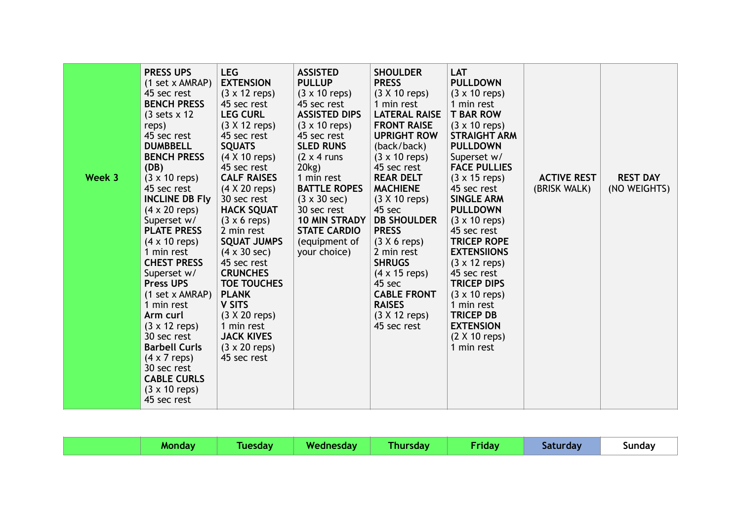| Week 3 | <b>PRESS UPS</b><br>(1 set x AMRAP)<br>45 sec rest<br><b>BENCH PRESS</b><br>$(3 \text{ sets} \times 12)$<br>reps)<br>45 sec rest<br><b>DUMBBELL</b><br><b>BENCH PRESS</b><br>(DB)<br>$(3 \times 10 \text{ reps})$<br>45 sec rest<br><b>INCLINE DB Fly</b><br>$(4 \times 20$ reps)<br>Superset w/<br><b>PLATE PRESS</b><br>$(4 \times 10$ reps)<br>1 min rest<br><b>CHEST PRESS</b><br>Superset w/<br><b>Press UPS</b><br>(1 set x AMRAP)<br>1 min rest<br>Arm curl<br>$(3 \times 12 \text{ reps})$<br>30 sec rest<br><b>Barbell Curls</b><br>$(4 \times 7 \text{ reps})$<br>30 sec rest<br><b>CABLE CURLS</b><br>$(3 \times 10 \text{ reps})$ | <b>LEG</b><br><b>EXTENSION</b><br>$(3 \times 12 \text{ reps})$<br>45 sec rest<br><b>LEG CURL</b><br>$(3 X 12$ reps)<br>45 sec rest<br><b>SQUATS</b><br>$(4 \times 10$ reps)<br>45 sec rest<br><b>CALF RAISES</b><br>$(4 \times 20$ reps)<br>30 sec rest<br><b>HACK SQUAT</b><br>$(3 \times 6 \text{ reps})$<br>2 min rest<br><b>SQUAT JUMPS</b><br>$(4 \times 30 \text{ sec})$<br>45 sec rest<br><b>CRUNCHES</b><br><b>TOE TOUCHES</b><br><b>PLANK</b><br><b>V SITS</b><br>$(3 \times 20 \text{ reps})$<br>1 min rest<br><b>JACK KIVES</b><br>$(3 \times 20$ reps)<br>45 sec rest | <b>ASSISTED</b><br><b>PULLUP</b><br>$(3 \times 10 \text{ reps})$<br>45 sec rest<br><b>ASSISTED DIPS</b><br>$(3 \times 10 \text{ reps})$<br>45 sec rest<br><b>SLED RUNS</b><br>$(2 \times 4 \text{ runs})$<br>20kg)<br>1 min rest<br><b>BATTLE ROPES</b><br>$(3 \times 30 \text{ sec})$<br>30 sec rest<br>10 MIN STRADY<br><b>STATE CARDIO</b><br>(equipment of<br>your choice) | <b>SHOULDER</b><br><b>PRESS</b><br>$(3 X 10$ reps)<br>1 min rest<br><b>LATERAL RAISE</b><br><b>FRONT RAISE</b><br><b>UPRIGHT ROW</b><br>(back/back)<br>$(3 \times 10 \text{ reps})$<br>45 sec rest<br><b>REAR DELT</b><br><b>MACHIENE</b><br>$(3 X 10$ reps)<br>45 sec<br><b>DB SHOULDER</b><br><b>PRESS</b><br>$(3 X 6$ reps)<br>2 min rest<br><b>SHRUGS</b><br>$(4 \times 15$ reps)<br>45 sec<br><b>CABLE FRONT</b><br><b>RAISES</b><br>$(3 \times 12 \text{ reps})$<br>45 sec rest | LAT<br><b>PULLDOWN</b><br>$(3 \times 10 \text{ reps})$<br>1 min rest<br><b>T BAR ROW</b><br>$(3 \times 10$ reps)<br><b>STRAIGHT ARM</b><br><b>PULLDOWN</b><br>Superset w/<br><b>FACE PULLIES</b><br>$(3 \times 15 \text{ reps})$<br>45 sec rest<br><b>SINGLE ARM</b><br><b>PULLDOWN</b><br>$(3 \times 10$ reps)<br>45 sec rest<br><b>TRICEP ROPE</b><br><b>EXTENSIIONS</b><br>$(3 \times 12 \text{ reps})$<br>45 sec rest<br><b>TRICEP DIPS</b><br>$(3 \times 10 \text{ reps})$<br>1 min rest<br><b>TRICEP DB</b><br><b>EXTENSION</b><br>$(2 \times 10$ reps)<br>1 min rest | <b>ACTIVE REST</b><br>(BRISK WALK) | <b>REST DAY</b><br>(NO WEIGHTS) |
|--------|-----------------------------------------------------------------------------------------------------------------------------------------------------------------------------------------------------------------------------------------------------------------------------------------------------------------------------------------------------------------------------------------------------------------------------------------------------------------------------------------------------------------------------------------------------------------------------------------------------------------------------------------------|-----------------------------------------------------------------------------------------------------------------------------------------------------------------------------------------------------------------------------------------------------------------------------------------------------------------------------------------------------------------------------------------------------------------------------------------------------------------------------------------------------------------------------------------------------------------------------------|--------------------------------------------------------------------------------------------------------------------------------------------------------------------------------------------------------------------------------------------------------------------------------------------------------------------------------------------------------------------------------|---------------------------------------------------------------------------------------------------------------------------------------------------------------------------------------------------------------------------------------------------------------------------------------------------------------------------------------------------------------------------------------------------------------------------------------------------------------------------------------|-----------------------------------------------------------------------------------------------------------------------------------------------------------------------------------------------------------------------------------------------------------------------------------------------------------------------------------------------------------------------------------------------------------------------------------------------------------------------------------------------------------------------------------------------------------------------------|------------------------------------|---------------------------------|
|        | 45 sec rest                                                                                                                                                                                                                                                                                                                                                                                                                                                                                                                                                                                                                                   |                                                                                                                                                                                                                                                                                                                                                                                                                                                                                                                                                                                   |                                                                                                                                                                                                                                                                                                                                                                                |                                                                                                                                                                                                                                                                                                                                                                                                                                                                                       |                                                                                                                                                                                                                                                                                                                                                                                                                                                                                                                                                                             |                                    |                                 |

|--|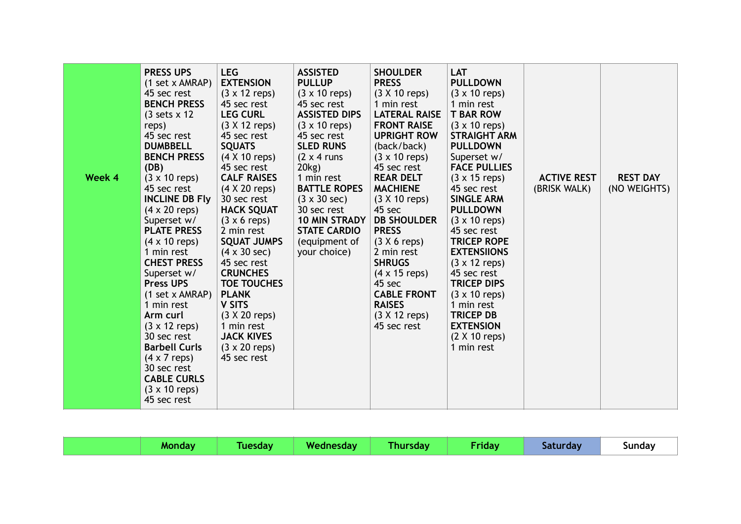| <b>TRICEP DB</b><br>$(3 \times 20 \text{ reps})$<br>$(3 \times 12 \text{ reps})$<br>Arm curl<br>1 min rest<br>45 sec rest<br><b>EXTENSION</b><br>$(3 \times 12 \text{ reps})$<br>30 sec rest<br><b>JACK KIVES</b><br>$(2 \times 10$ reps)<br><b>Barbell Curls</b><br>$(3 \times 20$ reps)<br>1 min rest<br>45 sec rest<br>$(4 \times 7 \text{ reps})$<br>30 sec rest<br><b>CABLE CURLS</b><br>$(3 \times 10 \text{ reps})$<br>45 sec rest | Week 4 | <b>PRESS UPS</b><br>(1 set x AMRAP)<br>45 sec rest<br><b>BENCH PRESS</b><br>$(3 \text{ sets} \times 12)$<br>reps)<br>45 sec rest<br><b>DUMBBELL</b><br><b>BENCH PRESS</b><br>(DB)<br>$(3 \times 10 \text{ reps})$<br>45 sec rest<br><b>INCLINE DB Fly</b><br>$(4 \times 20$ reps)<br>Superset w/<br><b>PLATE PRESS</b><br>$(4 \times 10$ reps)<br>1 min rest<br><b>CHEST PRESS</b><br>Superset w/<br><b>Press UPS</b><br>(1 set x AMRAP)<br>1 min rest | <b>LEG</b><br><b>EXTENSION</b><br>$(3 \times 12 \text{ reps})$<br>45 sec rest<br><b>LEG CURL</b><br>$(3 X 12$ reps)<br>45 sec rest<br><b>SQUATS</b><br>$(4 \times 10$ reps)<br>45 sec rest<br><b>CALF RAISES</b><br>$(4 \times 20$ reps)<br>30 sec rest<br><b>HACK SQUAT</b><br>$(3 \times 6 \text{ reps})$<br>2 min rest<br><b>SQUAT JUMPS</b><br>$(4 \times 30 \text{ sec})$<br>45 sec rest<br><b>CRUNCHES</b><br><b>TOE TOUCHES</b><br><b>PLANK</b><br><b>V SITS</b> | <b>ASSISTED</b><br><b>PULLUP</b><br>$(3 \times 10 \text{ reps})$<br>45 sec rest<br><b>ASSISTED DIPS</b><br>$(3 \times 10 \text{ reps})$<br>45 sec rest<br><b>SLED RUNS</b><br>$(2 \times 4 \text{ runs})$<br>20kg)<br>1 min rest<br><b>BATTLE ROPES</b><br>$(3 \times 30 \text{ sec})$<br>30 sec rest<br>10 MIN STRADY<br><b>STATE CARDIO</b><br>(equipment of<br>your choice) | <b>SHOULDER</b><br><b>PRESS</b><br>$(3 X 10$ reps)<br>1 min rest<br><b>LATERAL RAISE</b><br><b>FRONT RAISE</b><br><b>UPRIGHT ROW</b><br>(back/back)<br>$(3 \times 10 \text{ reps})$<br>45 sec rest<br><b>REAR DELT</b><br><b>MACHIENE</b><br>$(3 X 10$ reps)<br>45 sec<br><b>DB SHOULDER</b><br><b>PRESS</b><br>$(3 X 6$ reps)<br>2 min rest<br><b>SHRUGS</b><br>$(4 \times 15$ reps)<br>45 sec<br><b>CABLE FRONT</b><br><b>RAISES</b> | LAT<br><b>PULLDOWN</b><br>$(3 \times 10 \text{ reps})$<br>1 min rest<br><b>T BAR ROW</b><br>$(3 \times 10$ reps)<br><b>STRAIGHT ARM</b><br><b>PULLDOWN</b><br>Superset w/<br><b>FACE PULLIES</b><br>$(3 \times 15 \text{ reps})$<br>45 sec rest<br><b>SINGLE ARM</b><br><b>PULLDOWN</b><br>$(3 \times 10$ reps)<br>45 sec rest<br><b>TRICEP ROPE</b><br><b>EXTENSIIONS</b><br>$(3 \times 12 \text{ reps})$<br>45 sec rest<br><b>TRICEP DIPS</b><br>$(3 \times 10 \text{ reps})$<br>1 min rest | <b>ACTIVE REST</b><br>(BRISK WALK) | <b>REST DAY</b><br>(NO WEIGHTS) |
|-------------------------------------------------------------------------------------------------------------------------------------------------------------------------------------------------------------------------------------------------------------------------------------------------------------------------------------------------------------------------------------------------------------------------------------------|--------|--------------------------------------------------------------------------------------------------------------------------------------------------------------------------------------------------------------------------------------------------------------------------------------------------------------------------------------------------------------------------------------------------------------------------------------------------------|-------------------------------------------------------------------------------------------------------------------------------------------------------------------------------------------------------------------------------------------------------------------------------------------------------------------------------------------------------------------------------------------------------------------------------------------------------------------------|--------------------------------------------------------------------------------------------------------------------------------------------------------------------------------------------------------------------------------------------------------------------------------------------------------------------------------------------------------------------------------|----------------------------------------------------------------------------------------------------------------------------------------------------------------------------------------------------------------------------------------------------------------------------------------------------------------------------------------------------------------------------------------------------------------------------------------|-----------------------------------------------------------------------------------------------------------------------------------------------------------------------------------------------------------------------------------------------------------------------------------------------------------------------------------------------------------------------------------------------------------------------------------------------------------------------------------------------|------------------------------------|---------------------------------|
|-------------------------------------------------------------------------------------------------------------------------------------------------------------------------------------------------------------------------------------------------------------------------------------------------------------------------------------------------------------------------------------------------------------------------------------------|--------|--------------------------------------------------------------------------------------------------------------------------------------------------------------------------------------------------------------------------------------------------------------------------------------------------------------------------------------------------------------------------------------------------------------------------------------------------------|-------------------------------------------------------------------------------------------------------------------------------------------------------------------------------------------------------------------------------------------------------------------------------------------------------------------------------------------------------------------------------------------------------------------------------------------------------------------------|--------------------------------------------------------------------------------------------------------------------------------------------------------------------------------------------------------------------------------------------------------------------------------------------------------------------------------------------------------------------------------|----------------------------------------------------------------------------------------------------------------------------------------------------------------------------------------------------------------------------------------------------------------------------------------------------------------------------------------------------------------------------------------------------------------------------------------|-----------------------------------------------------------------------------------------------------------------------------------------------------------------------------------------------------------------------------------------------------------------------------------------------------------------------------------------------------------------------------------------------------------------------------------------------------------------------------------------------|------------------------------------|---------------------------------|

| / Wednesday<br>Thursday<br>Friday<br>Sunday<br><b>Tuesday</b><br>Saturday<br><b>Monday</b> |  |
|--------------------------------------------------------------------------------------------|--|
|--------------------------------------------------------------------------------------------|--|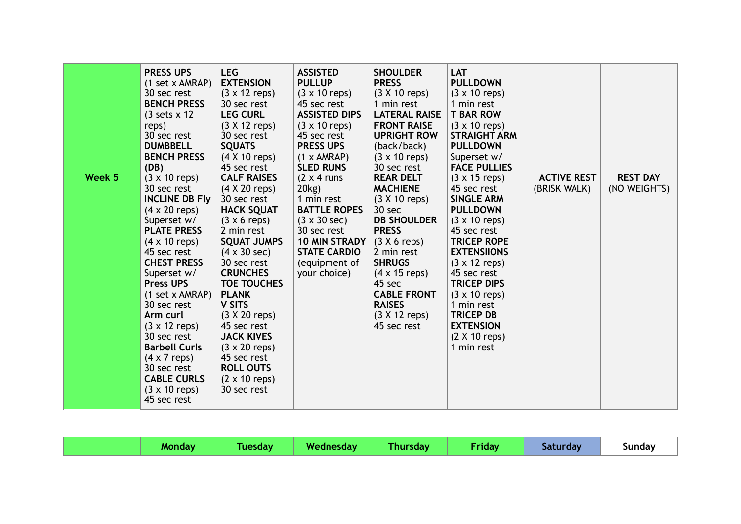| Week 5 | <b>PRESS UPS</b><br>(1 set x AMRAP)<br>30 sec rest<br><b>BENCH PRESS</b><br>$(3 \text{ sets} \times 12)$<br>reps)<br>30 sec rest<br><b>DUMBBELL</b><br><b>BENCH PRESS</b><br>(DB)<br>$(3 \times 10 \text{ reps})$                                                                                                                                                                                                                 | <b>LEG</b><br><b>EXTENSION</b><br>$(3 \times 12 \text{ reps})$<br>30 sec rest<br><b>LEG CURL</b><br>$(3 X 12$ reps)<br>30 sec rest<br><b>SQUATS</b><br>$(4 \times 10$ reps)<br>45 sec rest<br><b>CALF RAISES</b>                                                                                                                                                                                                  | <b>ASSISTED</b><br><b>PULLUP</b><br>$(3 \times 10 \text{ reps})$<br>45 sec rest<br><b>ASSISTED DIPS</b><br>$(3 \times 10 \text{ reps})$<br>45 sec rest<br><b>PRESS UPS</b><br>$(1 \times AMRAP)$<br><b>SLED RUNS</b><br>$(2 \times 4 \text{ runs})$ | <b>SHOULDER</b><br><b>PRESS</b><br>$(3 X 10$ reps)<br>1 min rest<br><b>LATERAL RAISE</b><br><b>FRONT RAISE</b><br><b>UPRIGHT ROW</b><br>(back/back)<br>$(3 \times 10 \text{ reps})$<br>30 sec rest<br><b>REAR DELT</b>                         | <b>LAT</b><br><b>PULLDOWN</b><br>$(3 \times 10 \text{ reps})$<br>1 min rest<br><b>T BAR ROW</b><br>$(3 \times 10 \text{ reps})$<br><b>STRAIGHT ARM</b><br><b>PULLDOWN</b><br>Superset w/<br><b>FACE PULLIES</b><br>$(3 \times 15$ reps)                                                                                                 | <b>ACTIVE REST</b> | <b>REST DAY</b> |
|--------|-----------------------------------------------------------------------------------------------------------------------------------------------------------------------------------------------------------------------------------------------------------------------------------------------------------------------------------------------------------------------------------------------------------------------------------|-------------------------------------------------------------------------------------------------------------------------------------------------------------------------------------------------------------------------------------------------------------------------------------------------------------------------------------------------------------------------------------------------------------------|-----------------------------------------------------------------------------------------------------------------------------------------------------------------------------------------------------------------------------------------------------|------------------------------------------------------------------------------------------------------------------------------------------------------------------------------------------------------------------------------------------------|-----------------------------------------------------------------------------------------------------------------------------------------------------------------------------------------------------------------------------------------------------------------------------------------------------------------------------------------|--------------------|-----------------|
|        | 30 sec rest<br><b>INCLINE DB Fly</b><br>$(4 \times 20$ reps)<br>Superset w/<br><b>PLATE PRESS</b><br>$(4 \times 10$ reps)<br>45 sec rest<br><b>CHEST PRESS</b><br>Superset w/<br><b>Press UPS</b><br>(1 set x AMRAP)<br>30 sec rest<br>Arm curl<br>$(3 \times 12 \text{ reps})$<br>30 sec rest<br><b>Barbell Curls</b><br>$(4 \times 7$ reps)<br>30 sec rest<br><b>CABLE CURLS</b><br>$(3 \times 10 \text{ reps})$<br>45 sec rest | $(4 \times 20$ reps)<br>30 sec rest<br><b>HACK SQUAT</b><br>$(3 \times 6 \text{ reps})$<br>2 min rest<br><b>SQUAT JUMPS</b><br>$(4 \times 30 \text{ sec})$<br>30 sec rest<br><b>CRUNCHES</b><br><b>TOE TOUCHES</b><br><b>PLANK</b><br><b>V SITS</b><br>$(3 \times 20$ reps)<br>45 sec rest<br><b>JACK KIVES</b><br>$(3 \times 20$ reps)<br>45 sec rest<br><b>ROLL OUTS</b><br>$(2 \times 10$ reps)<br>30 sec rest | 20kg)<br>1 min rest<br><b>BATTLE ROPES</b><br>$(3 \times 30 \text{ sec})$<br>30 sec rest<br><b>10 MIN STRADY</b><br><b>STATE CARDIO</b><br>(equipment of<br>your choice)                                                                            | <b>MACHIENE</b><br>$(3 X 10$ reps)<br>30 sec<br><b>DB SHOULDER</b><br><b>PRESS</b><br>$(3 X 6$ reps)<br>2 min rest<br><b>SHRUGS</b><br>$(4 \times 15$ reps)<br>45 sec<br><b>CABLE FRONT</b><br><b>RAISES</b><br>$(3 X 12$ reps)<br>45 sec rest | 45 sec rest<br><b>SINGLE ARM</b><br><b>PULLDOWN</b><br>$(3 \times 10$ reps)<br>45 sec rest<br><b>TRICEP ROPE</b><br><b>EXTENSIIONS</b><br>$(3 \times 12 \text{ reps})$<br>45 sec rest<br><b>TRICEP DIPS</b><br>$(3 \times 10 \text{ reps})$<br>1 min rest<br><b>TRICEP DB</b><br><b>EXTENSION</b><br>$(2 \times 10$ reps)<br>1 min rest | (BRISK WALK)       | (NO WEIGHTS)    |

|  | <b>Monday</b> | <b>Example 2 Tuesday   Wednesday  </b> |  | <b>Thursday</b> | <b>Friday</b> | Saturday | Sunday |
|--|---------------|----------------------------------------|--|-----------------|---------------|----------|--------|
|--|---------------|----------------------------------------|--|-----------------|---------------|----------|--------|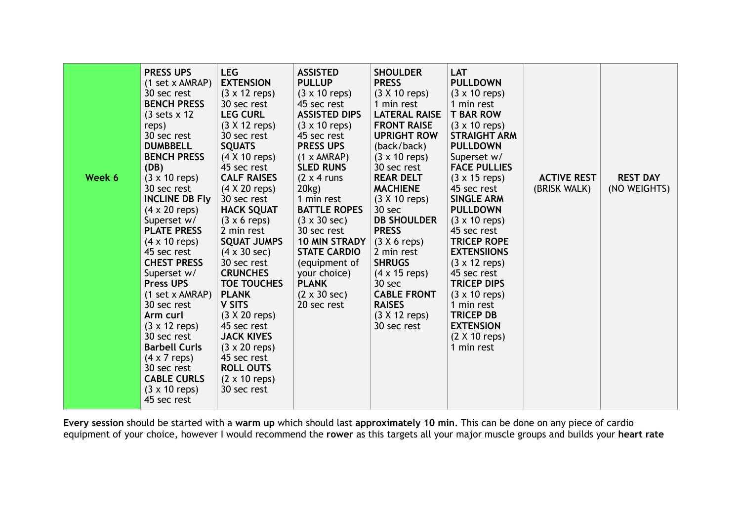| Week 6 | <b>PRESS UPS</b><br>(1 set x AMRAP)<br>30 sec rest<br><b>BENCH PRESS</b><br>$(3 \text{ sets} \times 12)$<br>reps)<br>30 sec rest<br><b>DUMBBELL</b><br><b>BENCH PRESS</b><br>(DB)<br>$(3 \times 10 \text{ reps})$<br>30 sec rest<br><b>INCLINE DB Fly</b><br>$(4 \times 20$ reps)<br>Superset w/<br><b>PLATE PRESS</b><br>$(4 \times 10 \text{ reps})$<br>45 sec rest<br><b>CHEST PRESS</b><br>Superset w/<br><b>Press UPS</b><br>(1 set x AMRAP)<br>30 sec rest<br>Arm curl<br>$(3 \times 12 \text{ reps})$<br>30 sec rest<br><b>Barbell Curls</b><br>$(4 \times 7$ reps)<br>30 sec rest<br><b>CABLE CURLS</b><br>$(3 \times 10 \text{ reps})$<br>45 sec rest | <b>LEG</b><br><b>EXTENSION</b><br>$(3 \times 12 \text{ reps})$<br>30 sec rest<br><b>LEG CURL</b><br>$(3 X 12$ reps)<br>30 sec rest<br><b>SQUATS</b><br>(4 X 10 reps)<br>45 sec rest<br><b>CALF RAISES</b><br>(4 X 20 reps)<br>30 sec rest<br><b>HACK SQUAT</b><br>$(3 \times 6 \text{ reps})$<br>2 min rest<br><b>SQUAT JUMPS</b><br>$(4 \times 30 \text{ sec})$<br>30 sec rest<br><b>CRUNCHES</b><br><b>TOE TOUCHES</b><br><b>PLANK</b><br><b>V SITS</b><br>$(3 X 20$ reps)<br>45 sec rest<br><b>JACK KIVES</b><br>$(3 \times 20$ reps)<br>45 sec rest<br><b>ROLL OUTS</b><br>$(2 \times 10 \text{ reps})$<br>30 sec rest | <b>ASSISTED</b><br><b>PULLUP</b><br>$(3 \times 10 \text{ reps})$<br>45 sec rest<br><b>ASSISTED DIPS</b><br>$(3 \times 10 \text{ reps})$<br>45 sec rest<br><b>PRESS UPS</b><br>$(1 \times AMRAP)$<br><b>SLED RUNS</b><br>$(2 \times 4 \text{ runs})$<br>20kg)<br>1 min rest<br><b>BATTLE ROPES</b><br>$(3 \times 30 \text{ sec})$<br>30 sec rest<br><b>10 MIN STRADY</b><br><b>STATE CARDIO</b><br>(equipment of<br>your choice)<br><b>PLANK</b><br>$(2 \times 30 \text{ sec})$<br>20 sec rest | <b>SHOULDER</b><br><b>PRESS</b><br>$(3 X 10$ reps)<br>1 min rest<br><b>LATERAL RAISE</b><br><b>FRONT RAISE</b><br><b>UPRIGHT ROW</b><br>(back/back)<br>$(3 \times 10 \text{ reps})$<br>30 sec rest<br><b>REAR DELT</b><br><b>MACHIENE</b><br>$(3 X 10$ reps)<br>30 sec<br><b>DB SHOULDER</b><br><b>PRESS</b><br>$(3 X 6$ reps)<br>2 min rest<br><b>SHRUGS</b><br>$(4 \times 15$ reps)<br>30 sec<br><b>CABLE FRONT</b><br><b>RAISES</b><br>$(3 X 12$ reps)<br>30 sec rest | <b>LAT</b><br><b>PULLDOWN</b><br>$(3 \times 10 \text{ reps})$<br>1 min rest<br><b>T BAR ROW</b><br>$(3 \times 10 \text{ reps})$<br><b>STRAIGHT ARM</b><br><b>PULLDOWN</b><br>Superset w/<br><b>FACE PULLIES</b><br>$(3 \times 15 \text{ reps})$<br>45 sec rest<br><b>SINGLE ARM</b><br><b>PULLDOWN</b><br>$(3 \times 10 \text{ reps})$<br>45 sec rest<br><b>TRICEP ROPE</b><br><b>EXTENSIIONS</b><br>$(3 \times 12 \text{ reps})$<br>45 sec rest<br><b>TRICEP DIPS</b><br>$(3 \times 10 \text{ reps})$<br>1 min rest<br><b>TRICEP DB</b><br><b>EXTENSION</b><br>$(2 \times 10$ reps)<br>1 min rest | <b>ACTIVE REST</b><br>(BRISK WALK) | <b>REST DAY</b><br>(NO WEIGHTS) |
|--------|----------------------------------------------------------------------------------------------------------------------------------------------------------------------------------------------------------------------------------------------------------------------------------------------------------------------------------------------------------------------------------------------------------------------------------------------------------------------------------------------------------------------------------------------------------------------------------------------------------------------------------------------------------------|----------------------------------------------------------------------------------------------------------------------------------------------------------------------------------------------------------------------------------------------------------------------------------------------------------------------------------------------------------------------------------------------------------------------------------------------------------------------------------------------------------------------------------------------------------------------------------------------------------------------------|-----------------------------------------------------------------------------------------------------------------------------------------------------------------------------------------------------------------------------------------------------------------------------------------------------------------------------------------------------------------------------------------------------------------------------------------------------------------------------------------------|--------------------------------------------------------------------------------------------------------------------------------------------------------------------------------------------------------------------------------------------------------------------------------------------------------------------------------------------------------------------------------------------------------------------------------------------------------------------------|----------------------------------------------------------------------------------------------------------------------------------------------------------------------------------------------------------------------------------------------------------------------------------------------------------------------------------------------------------------------------------------------------------------------------------------------------------------------------------------------------------------------------------------------------------------------------------------------------|------------------------------------|---------------------------------|
|--------|----------------------------------------------------------------------------------------------------------------------------------------------------------------------------------------------------------------------------------------------------------------------------------------------------------------------------------------------------------------------------------------------------------------------------------------------------------------------------------------------------------------------------------------------------------------------------------------------------------------------------------------------------------------|----------------------------------------------------------------------------------------------------------------------------------------------------------------------------------------------------------------------------------------------------------------------------------------------------------------------------------------------------------------------------------------------------------------------------------------------------------------------------------------------------------------------------------------------------------------------------------------------------------------------------|-----------------------------------------------------------------------------------------------------------------------------------------------------------------------------------------------------------------------------------------------------------------------------------------------------------------------------------------------------------------------------------------------------------------------------------------------------------------------------------------------|--------------------------------------------------------------------------------------------------------------------------------------------------------------------------------------------------------------------------------------------------------------------------------------------------------------------------------------------------------------------------------------------------------------------------------------------------------------------------|----------------------------------------------------------------------------------------------------------------------------------------------------------------------------------------------------------------------------------------------------------------------------------------------------------------------------------------------------------------------------------------------------------------------------------------------------------------------------------------------------------------------------------------------------------------------------------------------------|------------------------------------|---------------------------------|

**Every session** should be started with a **warm up** which should last **approximately 10 min**. This can be done on any piece of cardio equipment of your choice, however I would recommend the **rower** as this targets all your major muscle groups and builds your **heart rate**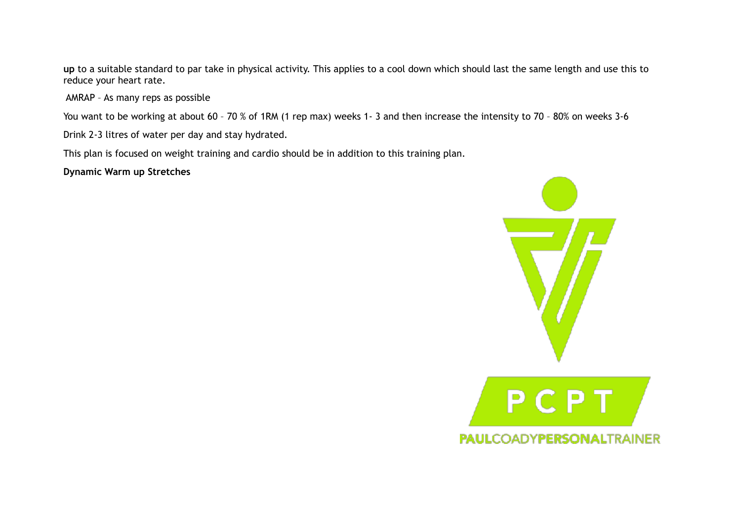**up** to a suitable standard to par take in physical activity. This applies to a cool down which should last the same length and use this to reduce your heart rate.

AMRAP – As many reps as possible

You want to be working at about 60 – 70 % of 1RM (1 rep max) weeks 1- 3 and then increase the intensity to 70 – 80% on weeks 3-6

Drink 2-3 litres of water per day and stay hydrated.

This plan is focused on weight training and cardio should be in addition to this training plan.

**Dynamic Warm up Stretches**